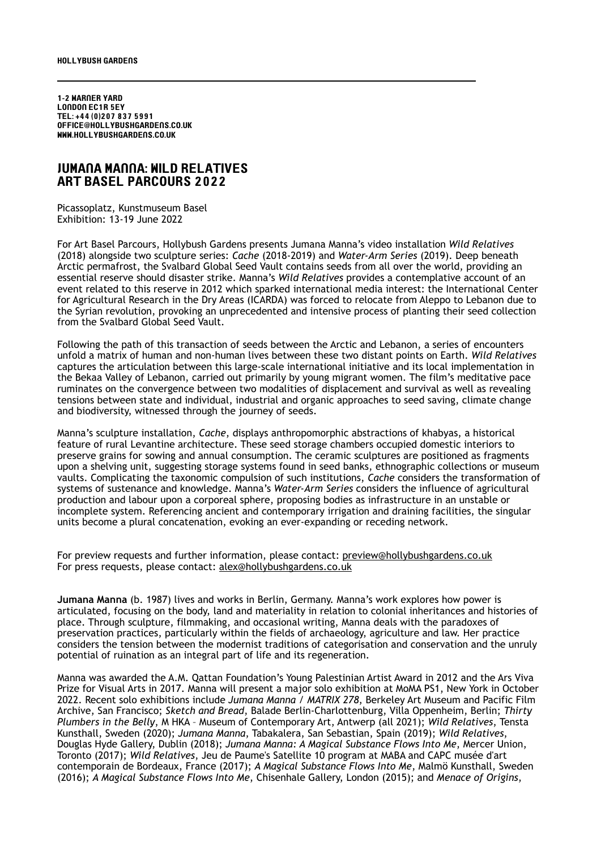1-2 Warner Yard London EC1r 5ey Tel: +44 (0)207 837 5991 office@hollybushgardens.co.uk www.hollybushgardens.co.uk

## JUMANA MANNA: WILD RELATIVES aRT BASEL PARCOURS 2022

Picassoplatz, Kunstmuseum Basel Exhibition: 13-19 June 2022

For Art Basel Parcours, Hollybush Gardens presents Jumana Manna's video installation *Wild Relatives*  (2018) alongside two sculpture series: *Cache* (2018-2019) and *Water-Arm Series* (2019). Deep beneath Arctic permafrost, the Svalbard Global Seed Vault contains seeds from all over the world, providing an essential reserve should disaster strike. Manna's *Wild Relatives* provides a contemplative account of an event related to this reserve in 2012 which sparked international media interest: the International Center for Agricultural Research in the Dry Areas (ICARDA) was forced to relocate from Aleppo to Lebanon due to the Syrian revolution, provoking an unprecedented and intensive process of planting their seed collection from the Svalbard Global Seed Vault.

Following the path of this transaction of seeds between the Arctic and Lebanon, a series of encounters unfold a matrix of human and non-human lives between these two distant points on Earth. *Wild Relatives* captures the articulation between this large-scale international initiative and its local implementation in the Bekaa Valley of Lebanon, carried out primarily by young migrant women. The film's meditative pace ruminates on the convergence between two modalities of displacement and survival as well as revealing tensions between state and individual, industrial and organic approaches to seed saving, climate change and biodiversity, witnessed through the journey of seeds.

Manna's sculpture installation, *Cache*, displays anthropomorphic abstractions of khabyas, a historical feature of rural Levantine architecture. These seed storage chambers occupied domestic interiors to preserve grains for sowing and annual consumption. The ceramic sculptures are positioned as fragments upon a shelving unit, suggesting storage systems found in seed banks, ethnographic collections or museum vaults. Complicating the taxonomic compulsion of such institutions, *Cache* considers the transformation of systems of sustenance and knowledge. Manna's *Water-Arm Series* considers the influence of agricultural production and labour upon a corporeal sphere, proposing bodies as infrastructure in an unstable or incomplete system. Referencing ancient and contemporary irrigation and draining facilities, the singular units become a plural concatenation, evoking an ever-expanding or receding network.

For preview requests and further information, please contact: [preview@hollybushgardens.co.uk](mailto:preview@hollybushgardens.co.uk) For press requests, please contact: [alex@hollybushgardens.co.uk](mailto:alex@hollybushgardens.co.uk)

**Jumana Manna** (b. 1987) lives and works in Berlin, Germany. Manna's work explores how power is articulated, focusing on the body, land and materiality in relation to colonial inheritances and histories of place. Through sculpture, filmmaking, and occasional writing, Manna deals with the paradoxes of preservation practices, particularly within the fields of archaeology, agriculture and law. Her practice considers the tension between the modernist traditions of categorisation and conservation and the unruly potential of ruination as an integral part of life and its regeneration.

Manna was awarded the A.M. Qattan Foundation's Young Palestinian Artist Award in 2012 and the Ars Viva Prize for Visual Arts in 2017. Manna will present a major solo exhibition at MoMA PS1, New York in October 2022. Recent solo exhibitions include *Jumana Manna / MATRIX 278*, Berkeley Art Museum and Pacific Film Archive, San Francisco; *Sketch and Bread*, Balade Berlin-Charlottenburg, Villa Oppenheim, Berlin; *Thirty Plumbers in the Belly*, M HKA – Museum of Contemporary Art, Antwerp (all 2021); *Wild Relatives*, Tensta Kunsthall, Sweden (2020); *Jumana Manna*, Tabakalera, San Sebastian, Spain (2019); *Wild Relatives*, Douglas Hyde Gallery, Dublin (2018); *Jumana Manna: A Magical Substance Flows Into Me*, Mercer Union, Toronto (2017); *Wild Relatives*, Jeu de Paume's Satellite 10 program at MABA and CAPC musée d'art contemporain de Bordeaux, France (2017); *A Magical Substance Flows Into Me*, Malmö Kunsthall, Sweden (2016); *A Magical Substance Flows Into Me*, Chisenhale Gallery, London (2015); and *Menace of Origins*,